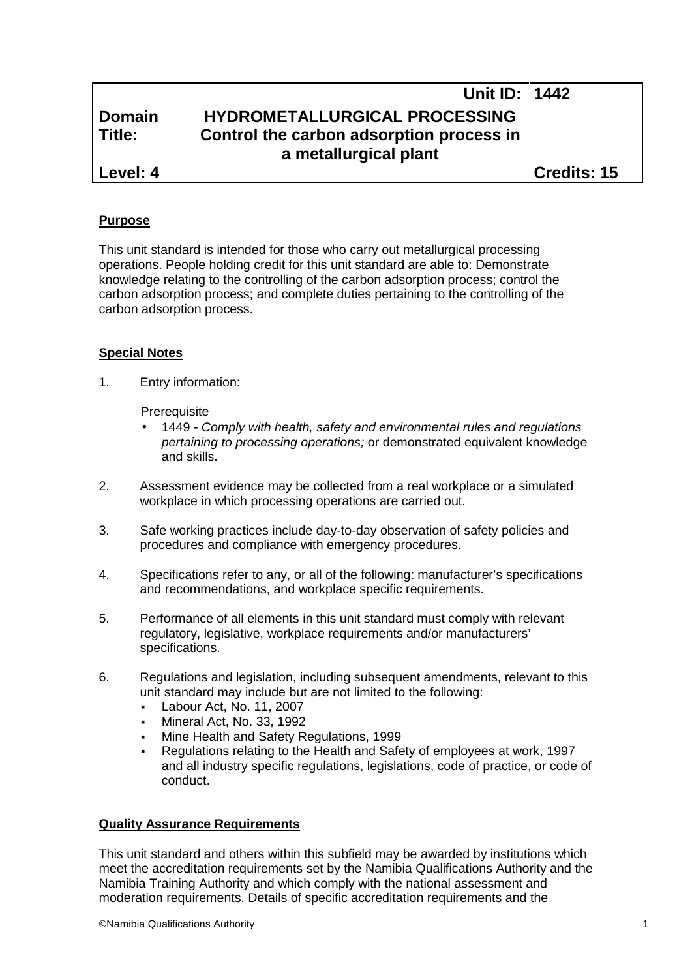## **Unit ID: 1442 Domain HYDROMETALLURGICAL PROCESSING Title: Control the carbon adsorption process in a metallurgical plant Level: 4 Credits: 15**

#### **Purpose**

This unit standard is intended for those who carry out metallurgical processing operations. People holding credit for this unit standard are able to: Demonstrate knowledge relating to the controlling of the carbon adsorption process; control the carbon adsorption process; and complete duties pertaining to the controlling of the carbon adsorption process.

#### **Special Notes**

1. Entry information:

**Prerequisite** 

- 1449 *- Comply with health, safety and environmental rules and regulations pertaining to processing operations;* or demonstrated equivalent knowledge and skills.
- 2. Assessment evidence may be collected from a real workplace or a simulated workplace in which processing operations are carried out.
- 3. Safe working practices include day-to-day observation of safety policies and procedures and compliance with emergency procedures.
- 4. Specifications refer to any, or all of the following: manufacturer's specifications and recommendations, and workplace specific requirements.
- 5. Performance of all elements in this unit standard must comply with relevant regulatory, legislative, workplace requirements and/or manufacturers' specifications.
- 6. Regulations and legislation, including subsequent amendments, relevant to this unit standard may include but are not limited to the following:
	- Labour Act, No. 11, 2007
	- Mineral Act, No. 33, 1992
	- Mine Health and Safety Regulations, 1999
	- Regulations relating to the Health and Safety of employees at work, 1997 and all industry specific regulations, legislations, code of practice, or code of conduct.

#### **Quality Assurance Requirements**

This unit standard and others within this subfield may be awarded by institutions which meet the accreditation requirements set by the Namibia Qualifications Authority and the Namibia Training Authority and which comply with the national assessment and moderation requirements. Details of specific accreditation requirements and the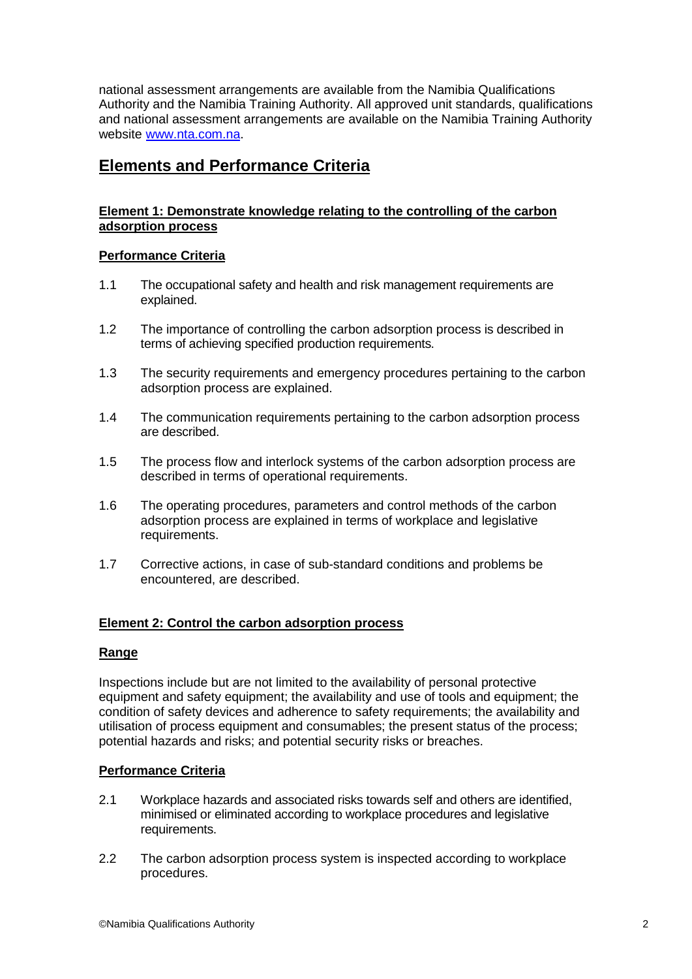national assessment arrangements are available from the Namibia Qualifications Authority and the Namibia Training Authority. All approved unit standards, qualifications and national assessment arrangements are available on the Namibia Training Authority website www.nta.com.na.

### **Elements and Performance Criteria**

#### **Element 1: Demonstrate knowledge relating to the controlling of the carbon adsorption process**

### **Performance Criteria**

- 1.1 The occupational safety and health and risk management requirements are explained.
- 1.2 The importance of controlling the carbon adsorption process is described in terms of achieving specified production requirements.
- 1.3 The security requirements and emergency procedures pertaining to the carbon adsorption process are explained.
- 1.4 The communication requirements pertaining to the carbon adsorption process are described.
- 1.5 The process flow and interlock systems of the carbon adsorption process are described in terms of operational requirements.
- 1.6 The operating procedures, parameters and control methods of the carbon adsorption process are explained in terms of workplace and legislative requirements.
- 1.7 Corrective actions, in case of sub-standard conditions and problems be encountered, are described.

#### **Element 2: Control the carbon adsorption process**

#### **Range**

Inspections include but are not limited to the availability of personal protective equipment and safety equipment; the availability and use of tools and equipment; the condition of safety devices and adherence to safety requirements; the availability and utilisation of process equipment and consumables; the present status of the process; potential hazards and risks; and potential security risks or breaches.

#### **Performance Criteria**

- 2.1 Workplace hazards and associated risks towards self and others are identified, minimised or eliminated according to workplace procedures and legislative requirements.
- 2.2 The carbon adsorption process system is inspected according to workplace procedures.